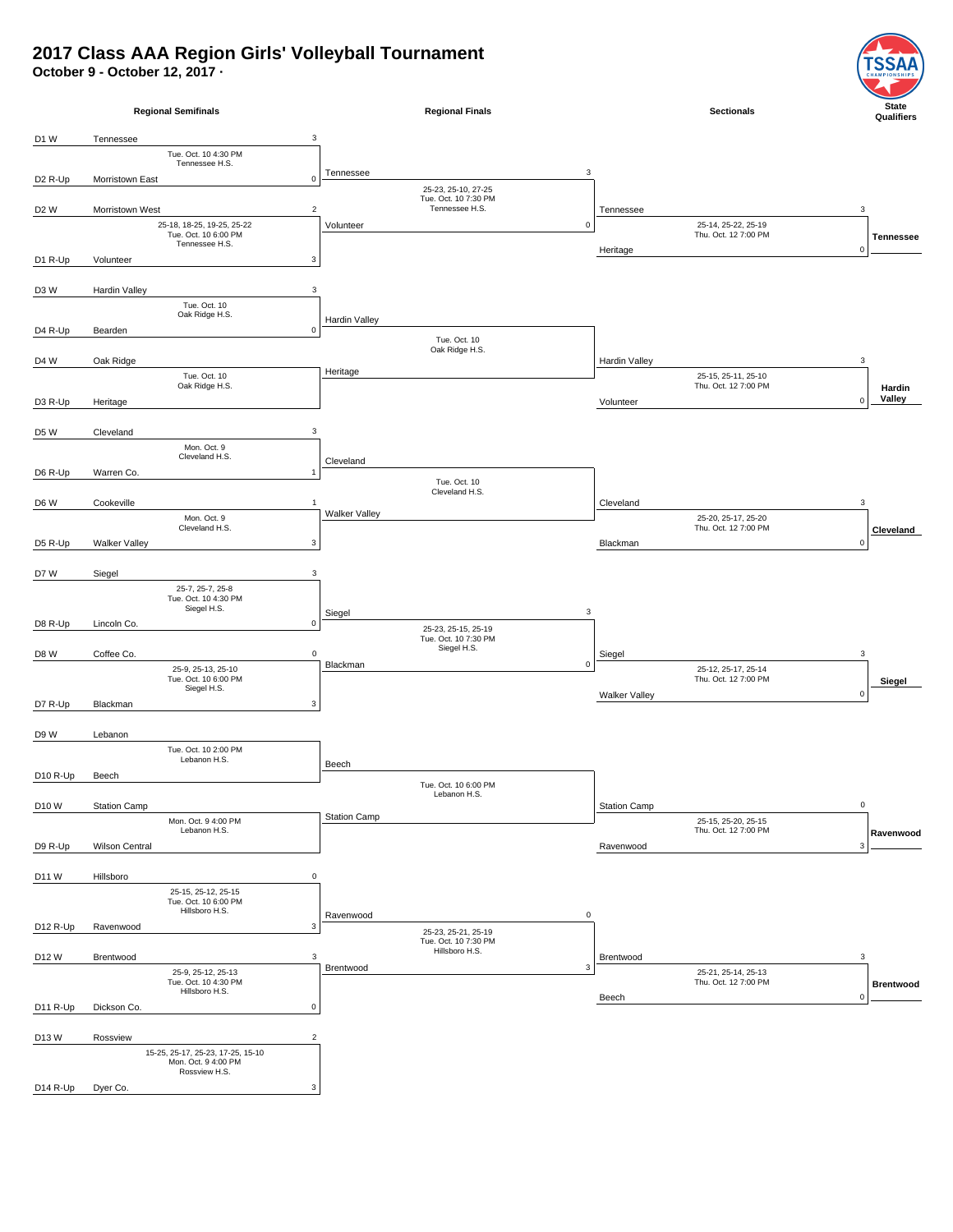## **2017 Class AAA Region Girls' Volleyball Tournament**

**October 9 - October 12, 2017 ·**



SI